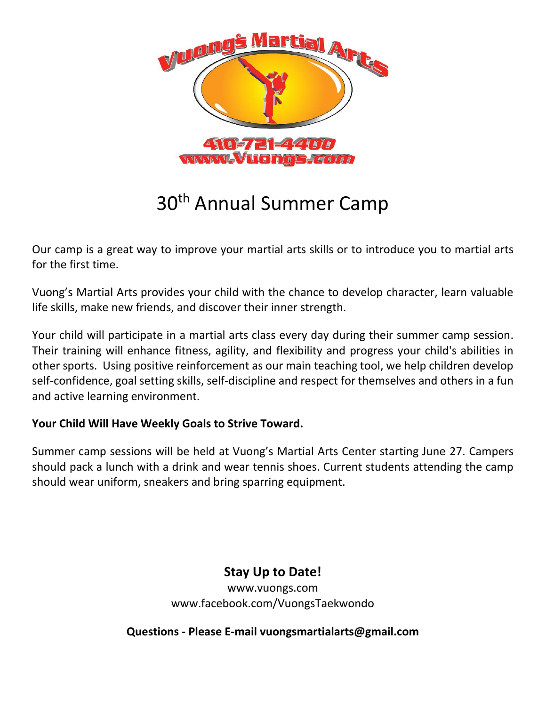

# 30th Annual Summer Camp

Our camp is a great way to improve your martial arts skills or to introduce you to martial arts for the first time.

Vuong's Martial Arts provides your child with the chance to develop character, learn valuable life skills, make new friends, and discover their inner strength.

Your child will participate in a martial arts class every day during their summer camp session. Their training will enhance fitness, agility, and flexibility and progress your child's abilities in other sports. Using positive reinforcement as our main teaching tool, we help children develop self-confidence, goal setting skills, self-discipline and respect for themselves and others in a fun and active learning environment.

#### **Your Child Will Have Weekly Goals to Strive Toward.**

Summer camp sessions will be held at Vuong's Martial Arts Center starting June 27. Campers should pack a lunch with a drink and wear tennis shoes. Current students attending the camp should wear uniform, sneakers and bring sparring equipment.

### **Stay Up to Date!**

www.vuongs.com www.facebook.com/VuongsTaekwondo

**Questions - Please E-mail vuongsmartialarts@gmail.com**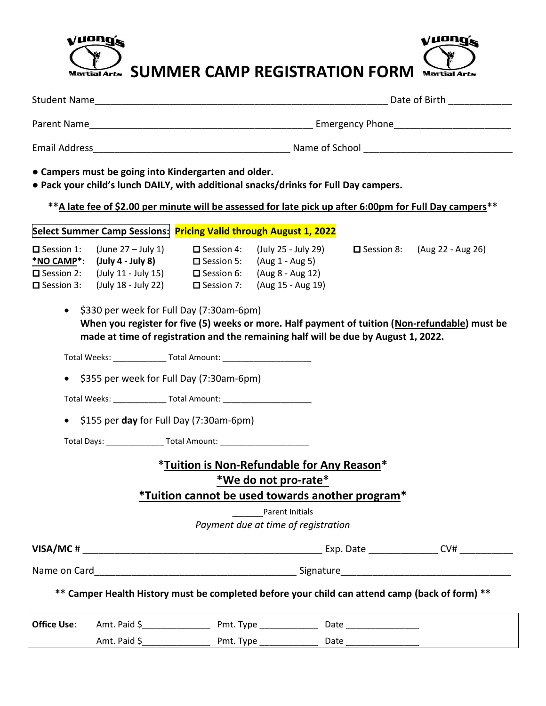## vuong's Vuong Martial Arts **SUMMER CAMP REGISTRATION FORM** Martial Arts

|                                                      |                                                                                                                                                                                                                                                                                      |  | Date of Birth <b>Exercise 20</b>                                                                                                          |  |                                                                                                |  |  |
|------------------------------------------------------|--------------------------------------------------------------------------------------------------------------------------------------------------------------------------------------------------------------------------------------------------------------------------------------|--|-------------------------------------------------------------------------------------------------------------------------------------------|--|------------------------------------------------------------------------------------------------|--|--|
|                                                      |                                                                                                                                                                                                                                                                                      |  |                                                                                                                                           |  |                                                                                                |  |  |
|                                                      |                                                                                                                                                                                                                                                                                      |  |                                                                                                                                           |  |                                                                                                |  |  |
|                                                      | • Campers must be going into Kindergarten and older.<br>. Pack your child's lunch DAILY, with additional snacks/drinks for Full Day campers.                                                                                                                                         |  |                                                                                                                                           |  |                                                                                                |  |  |
|                                                      | ** A late fee of \$2.00 per minute will be assessed for late pick up after 6:00pm for Full Day campers**                                                                                                                                                                             |  |                                                                                                                                           |  |                                                                                                |  |  |
|                                                      | Select Summer Camp Sessions: Pricing Valid through August 1, 2022                                                                                                                                                                                                                    |  |                                                                                                                                           |  |                                                                                                |  |  |
| $\square$ Session 3:                                 | $\Box$ Session 1: (June 27 – July 1) $\Box$ Session 4: (July 25 - July 29)<br>*NO CAMP*: $(\text{July } 4 - \text{ July } 8)$ $\Box$ Session 5: $(\text{Aug } 1 - \text{Aug } 5)$<br>$\Box$ Session 2: (July 11 - July 15) $\Box$ Session 6: (Aug 8 - Aug 12)<br>(July 18 - July 22) |  | $\square$ Session 7: (Aug 15 - Aug 19)                                                                                                    |  | $\Box$ Session 8: (Aug 22 - Aug 26)                                                            |  |  |
|                                                      | • \$330 per week for Full Day (7:30am-6pm)<br>made at time of registration and the remaining half will be due by August 1, 2022.                                                                                                                                                     |  |                                                                                                                                           |  | When you register for five (5) weeks or more. Half payment of tuition (Non-refundable) must be |  |  |
|                                                      |                                                                                                                                                                                                                                                                                      |  |                                                                                                                                           |  |                                                                                                |  |  |
|                                                      | \$355 per week for Full Day (7:30am-6pm)                                                                                                                                                                                                                                             |  |                                                                                                                                           |  |                                                                                                |  |  |
|                                                      | Total Weeks: __________________ Total Amount: __________________________________                                                                                                                                                                                                     |  |                                                                                                                                           |  |                                                                                                |  |  |
| \$155 per day for Full Day (7:30am-6pm)<br>$\bullet$ |                                                                                                                                                                                                                                                                                      |  |                                                                                                                                           |  |                                                                                                |  |  |
|                                                      | Total Days: _______________________Total Amount: _______________________________                                                                                                                                                                                                     |  |                                                                                                                                           |  |                                                                                                |  |  |
|                                                      |                                                                                                                                                                                                                                                                                      |  | *Tuition is Non-Refundable for Any Reason*<br>*We do not pro-rate*<br>*Tuition cannot be used towards another program*<br>Parent Initials |  |                                                                                                |  |  |
|                                                      |                                                                                                                                                                                                                                                                                      |  | Payment due at time of registration                                                                                                       |  |                                                                                                |  |  |
|                                                      |                                                                                                                                                                                                                                                                                      |  |                                                                                                                                           |  |                                                                                                |  |  |
|                                                      |                                                                                                                                                                                                                                                                                      |  |                                                                                                                                           |  |                                                                                                |  |  |
|                                                      | ** Camper Health History must be completed before your child can attend camp (back of form) **                                                                                                                                                                                       |  |                                                                                                                                           |  |                                                                                                |  |  |
|                                                      |                                                                                                                                                                                                                                                                                      |  |                                                                                                                                           |  |                                                                                                |  |  |
|                                                      |                                                                                                                                                                                                                                                                                      |  |                                                                                                                                           |  |                                                                                                |  |  |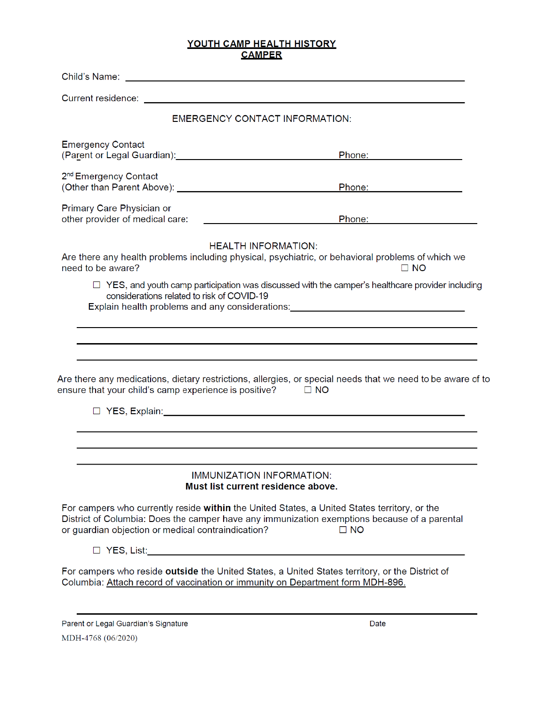#### YOUTH CAMP HEALTH HISTORY **CAMPER**

|                                                                                                                                                                                                                                                            | <b>EMERGENCY CONTACT INFORMATION:</b>                                                                                                                                                                                                                                             |
|------------------------------------------------------------------------------------------------------------------------------------------------------------------------------------------------------------------------------------------------------------|-----------------------------------------------------------------------------------------------------------------------------------------------------------------------------------------------------------------------------------------------------------------------------------|
| <b>Emergency Contact</b><br>(Parent or Legal Guardian): Carrier and Contract Contract of Contract Contract Contract Contract Contract Contract Contract Contract Contract Contract Contract Contract Contract Contract Contract Contract Contract Contract | Phone: the contract of the contract of the contract of the contract of the contract of the contract of the contract of the contract of the contract of the contract of the contract of the contract of the contract of the con                                                    |
| 2 <sup>nd</sup> Emergency Contact                                                                                                                                                                                                                          | Phone: Annual March 2014                                                                                                                                                                                                                                                          |
| Primary Care Physician or<br>other provider of medical care:                                                                                                                                                                                               | <u> 1980 - Johann Barnett, fransk politik (</u><br>Phone: New York Changes and Changes and Changes and Changes and Changes and Changes and Changes and Changes and Changes and Changes and Changes and Changes and Changes and Changes and Changes and Changes and Changes and Ch |
| need to be aware?                                                                                                                                                                                                                                          | <b>HEALTH INFORMATION:</b><br>Are there any health problems including physical, psychiatric, or behavioral problems of which we<br>$\Box$ NO                                                                                                                                      |
| considerations related to risk of COVID-19                                                                                                                                                                                                                 | $\Box$ YES, and youth camp participation was discussed with the camper's healthcare provider including<br>Explain health problems and any considerations: ________________________________                                                                                        |
|                                                                                                                                                                                                                                                            |                                                                                                                                                                                                                                                                                   |
|                                                                                                                                                                                                                                                            |                                                                                                                                                                                                                                                                                   |
| ensure that your child's camp experience is positive?                                                                                                                                                                                                      | Are there any medications, dietary restrictions, allergies, or special needs that we need to be aware of to<br>$\square$ NO                                                                                                                                                       |
|                                                                                                                                                                                                                                                            | □ YES, Explain: <u>University of the Second Community of the Second Community of the Second Community of the Second</u>                                                                                                                                                           |
|                                                                                                                                                                                                                                                            |                                                                                                                                                                                                                                                                                   |
|                                                                                                                                                                                                                                                            |                                                                                                                                                                                                                                                                                   |
|                                                                                                                                                                                                                                                            | <b>IMMUNIZATION INFORMATION:</b><br>Must list current residence above.                                                                                                                                                                                                            |
| or guardian objection or medical contraindication?                                                                                                                                                                                                         | For campers who currently reside within the United States, a United States territory, or the<br>District of Columbia: Does the camper have any immunization exemptions because of a parental<br>$\Box$ NO                                                                         |
|                                                                                                                                                                                                                                                            |                                                                                                                                                                                                                                                                                   |
|                                                                                                                                                                                                                                                            | For campers who reside outside the United States, a United States territory, or the District of<br>Columbia: Attach record of vaccination or immunity on Department form MDH-896.                                                                                                 |
| Parent or Legal Guardian's Signature                                                                                                                                                                                                                       | Date                                                                                                                                                                                                                                                                              |